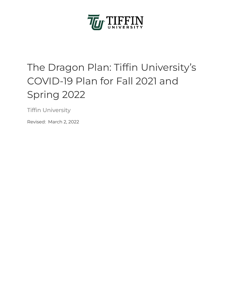

# The Dragon Plan: Tiffin University's COVID-19 Plan for Fall 2021 and Spring 2022

Tiffin University

Revised: March 2, 2022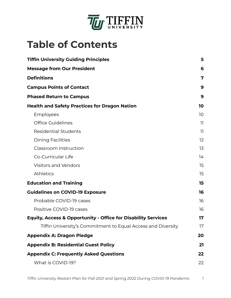

# **Table of Contents**

| <b>Tiffin University Guiding Principles</b>                              | 5            |
|--------------------------------------------------------------------------|--------------|
| <b>Message from Our President</b>                                        | 6            |
| <b>Definitions</b>                                                       | 7            |
| <b>Campus Points of Contact</b>                                          | 9            |
| <b>Phased Return to Campus</b>                                           | 9            |
| <b>Health and Safety Practices for Dragon Nation</b>                     |              |
| Employees                                                                | 10           |
| <b>Office Guidelines</b>                                                 | 11           |
| <b>Residential Students</b>                                              | $\mathbf{1}$ |
| <b>Dining Facilities</b>                                                 | 12           |
| Classroom Instruction                                                    | 13           |
| Co-Curricular Life                                                       | 14           |
| <b>Visitors and Vendors</b>                                              | 15           |
| <b>Athletics</b>                                                         | 15           |
| <b>Education and Training</b>                                            | 15           |
| <b>Guidelines on COVID-19 Exposure</b>                                   |              |
| Probable COVID-19 cases                                                  | 16           |
| Positive COVID-19 cases                                                  | 16           |
| <b>Equity, Access &amp; Opportunity - Office for Disability Services</b> | 17           |
| Tiffin University's Commitment to Equal Access and Diversity             | 17           |
| <b>Appendix A: Dragon Pledge</b>                                         | 20           |
| <b>Appendix B: Residential Guest Policy</b>                              | 21           |
| <b>Appendix C: Frequently Asked Questions</b>                            |              |
| What is COVID-19?                                                        | 22           |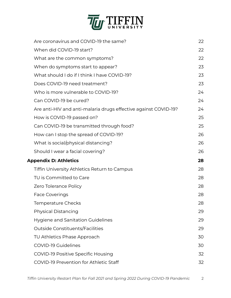

|                              | Are coronavirus and COVID-19 the same?                          | 22 |
|------------------------------|-----------------------------------------------------------------|----|
|                              | When did COVID-19 start?                                        | 22 |
|                              | What are the common symptoms?                                   | 22 |
|                              | When do symptoms start to appear?                               | 23 |
|                              | What should I do if I think I have COVID-19?                    | 23 |
|                              | Does COVID-19 need treatment?                                   | 23 |
|                              | Who is more vulnerable to COVID-19?                             | 24 |
|                              | Can COVID-19 be cured?                                          | 24 |
|                              | Are anti-HIV and anti-malaria drugs effective against COVID-19? | 24 |
|                              | How is COVID-19 passed on?                                      | 25 |
|                              | Can COVID-19 be transmitted through food?                       | 25 |
|                              | How can I stop the spread of COVID-19?                          | 26 |
|                              | What is social/physical distancing?                             | 26 |
|                              | Should I wear a facial covering?                                | 26 |
| <b>Appendix D: Athletics</b> |                                                                 | 28 |
|                              | Tiffin University Athletics Return to Campus                    | 28 |
|                              | TU is Committed to Care                                         | 28 |
|                              | Zero Tolerance Policy                                           | 28 |
|                              | <b>Face Coverings</b>                                           | 28 |
|                              | Temperature Checks                                              | 28 |
|                              | <b>Physical Distancing</b>                                      | 29 |
|                              | <b>Hygiene and Sanitation Guidelines</b>                        | 29 |
|                              | Outside Constituents/Facilities                                 | 29 |
|                              | TU Athletics Phase Approach                                     | 30 |
|                              | <b>COVID-19 Guidelines</b>                                      | 30 |
|                              | <b>COVID-19 Positive Specific Housing</b>                       | 32 |
|                              | COVID-19 Prevention for Athletic Staff                          | 32 |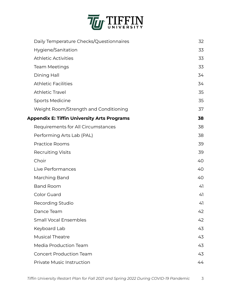

| Daily Temperature Checks/Questionnaires            | 32 |
|----------------------------------------------------|----|
| Hygiene/Sanitation                                 | 33 |
| <b>Athletic Activities</b>                         | 33 |
| <b>Team Meetings</b>                               | 33 |
| Dining Hall                                        | 34 |
| <b>Athletic Facilities</b>                         | 34 |
| <b>Athletic Travel</b>                             | 35 |
| <b>Sports Medicine</b>                             | 35 |
| Weight Room/Strength and Conditioning              | 37 |
| <b>Appendix E: Tiffin University Arts Programs</b> | 38 |
| Requirements for All Circumstances                 | 38 |
| Performing Arts Lab (PAL)                          | 38 |
| <b>Practice Rooms</b>                              | 39 |
| <b>Recruiting Visits</b>                           | 39 |
| Choir                                              | 40 |
| Live Performances                                  | 40 |
| Marching Band                                      | 40 |
| <b>Band Room</b>                                   | 41 |
| <b>Color Guard</b>                                 | 41 |
| Recording Studio                                   | 41 |
| Dance Team                                         | 42 |
| <b>Small Vocal Ensembles</b>                       | 42 |
| Keyboard Lab                                       | 43 |
| <b>Musical Theatre</b>                             | 43 |
| <b>Media Production Team</b>                       | 43 |
| <b>Concert Production Team</b>                     | 43 |
| Private Music Instruction                          | 44 |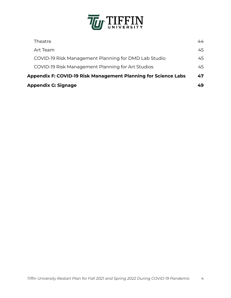

| <b>Appendix G: Signage</b>                                            |                                                      | 49 |
|-----------------------------------------------------------------------|------------------------------------------------------|----|
| <b>Appendix F: COVID-19 Risk Management Planning for Science Labs</b> |                                                      |    |
|                                                                       | COVID-19 Risk Management Planning for Art Studios    | 45 |
|                                                                       | COVID-19 Risk Management Planning for DMD Lab Studio | 45 |
|                                                                       | Art Team                                             | 45 |
|                                                                       | Theatre                                              | 44 |
|                                                                       |                                                      |    |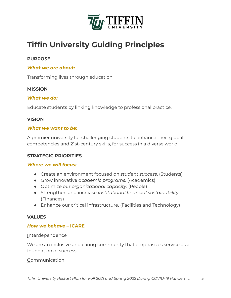

# <span id="page-5-0"></span> **Tiffin University Guiding Principles**

#### **PURPOSE**

#### *What we are about:*

Transforming lives through education.

#### **MISSION**

#### *What we do:*

Educate students by linking knowledge to professional practice.

#### **VISION**

#### *What we want to be:*

 A premier university for challenging students to enhance their global competencies and 21st-century skills, for success in a diverse world.

#### **STRATEGIC PRIORITIES**

#### *Where we will focus:*

- Create an environment focused on *student success* . (Students)
- Grow innovative *academic programs* . (Academics)
- Optimize our *organizational capacity* . (People)
- Strengthen and increase *institutional financial sustainability* . (Finances)
- Enhance our critical infrastructure. (Facilities and Technology)

#### **VALUES**

#### *How we behave* **– ICARE**

**Interdependence** 

We are an inclusive and caring community that emphasizes service as a foundation of success.

**Communication**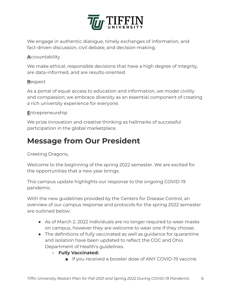

 We engage in authentic dialogue, timely exchanges of information, and fact-driven discussion, civil debate, and decision-making.

#### **A**ccountability

 We make ethical, responsible decisions that have a high degree of integrity, are data-informed, and are results-oriented.

#### **R** espect

 As a portal of equal access to education and information, we model civility and compassion; we embrace diversity as an essential component of creating a rich university experience for everyone.

#### **E**ntrepreneurship

 We prize innovation and creative thinking as hallmarks of successful participation in the global marketplace.

# <span id="page-6-0"></span> **Message from Our President**

Greeting Dragons,

 Welcome to the beginning of the spring 2022 semester. We are excited for the opportunities that a new year brings.

 This campus update highlights our response to the ongoing COVID-19 pandemic.

 With the new guidelines provided by the Centers for Disease Control, an overview of our campus response and protocols for the spring 2022 semester are outlined below:

- As of March 2, 2022 individuals are no longer required to wear masks on campus, however they are welcome to wear one if they choose.
- The definitions of fully vaccinated as well as guidance for quarantine and isolation have been updated to reflect the CDC and Ohio Department of Health's guidelines.
	- **Fully Vaccinated:** 
		- If you received a booster dose of ANY COVID-19 vaccine.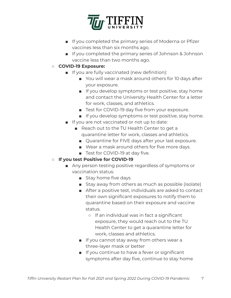

- If you completed the primary series of Moderna or Pfizer vaccines less than six months ago.
- If you completed the primary series of Johnson & Johnson vaccine less than two months ago.
- **COVID-19 Exposure:** 
	- If you are fully vaccinated (new definition):
		- You will wear a mask around others for 10 days after your exposure.
		- If you develop symptoms or test positive, stay home and contact the University Health Center for a letter for work, classes, and athletics.
		- Test for COVID-19 day five from your exposure.
		- If you develop symptoms or test positive, stay home.
	- If you are not vaccinated or not up to date:
		- Reach out to the TU Health Center to get a quarantine letter for work, classes and athletics.
			- Quarantine for FIVE days after your last exposure.
			- Wear a mask around others for five more days.
			- Test for COVID-19 at day five.

#### ○ **If you test Positive for COVID-19**

- Any person testing positive regardless of symptoms or vaccination status:
	- Stay home five days
	- Stay away from others as much as possible (isolate)
	- After a positive test, individuals are asked to contact their own significant exposures to notify them to quarantine based on their exposure and vaccine status.
		- If an individual was in fact a significant exposure, they would reach out to the TU Health Center to get a quarantine letter for work, classes and athletics.
	- If you cannot stay away from others wear a three-layer mask or better
	- If you continue to have a fever or significant symptoms after day five, continue to stay home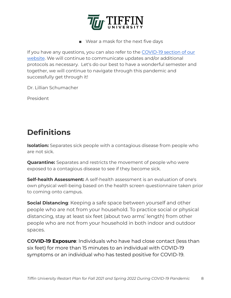

■ Wear a mask for the next five days

 If you have any questions, you can also refer to the [COVID-19 section of our](https://www.tiffin.edu/offices/campus-safety-security/coronavirus)   [website](https://www.tiffin.edu/offices/campus-safety-security/coronavirus). We will continue to communicate updates and/or additional protocols as necessary. Let's do our best to have a wonderful semester and together, we will continue to navigate through this pandemic and successfully get through it!

Dr. Lillian Schumacher

President

# <span id="page-8-0"></span> **Definitions**

**Isolation:** Separates sick people with a contagious disease from people who are not sick.

 **Quarantine:** Separates and restricts the movement of people who were exposed to a contagious disease to see if they become sick.

 **Self-health Assessment:** A self-health assessment is an evaluation of one's own physical well-being based on the health screen questionnaire taken prior to coming onto campus.

**Social Distancing**: Keeping a safe space between yourself and other people who are not from your household. To practice social or physical distancing, stay at least six feet (about two arms' length) from other people who are not from your household in both indoor and outdoor spaces.

**COVID-19 Exposure**: Individuals who have had close contact (less than six feet) for more than 15 minutes to an individual with COVID-19 symptoms or an individual who has tested positive for COVID-19.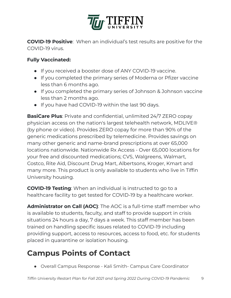

**COVID-19 Positive**: When an individual's test results are positive for the COVID-19 virus.

#### **Fully Vaccinated:**

- If you received a booster dose of ANY COVID-19 vaccine.
- If you completed the primary series of Moderna or Pfizer vaccine less than 6 months ago.
- If you completed the primary series of Johnson & Johnson vaccine less than 2 months ago.
- If you have had COVID-19 within the last 90 days.

**BasiCare Plus**: Private and confidential, unlimited 24/7 ZERO copay physician access on the nation's largest telehealth network, MDLIVE® (by phone or video). Provides ZERO copay for more than 90% of the generic medications prescribed by telemedicine. Provides savings on many other generic and name-brand prescriptions at over 65,000 locations nationwide. Nationwide Rx Access - Over 65,000 locations for your free and discounted medications; CVS, Walgreens, Walmart, Costco, Rite Aid, Discount Drug Mart, Albertsons, Kroger, Kmart and many more. This product is only available to students who live in Tiffin University housing.

**COVID-19 Testing:** When an individual is instructed to go to a healthcare facility to get tested for COVID-19 by a healthcare worker.

**Administrator on Call (AOC)**: The AOC is a full-time staff member who is available to students, faculty, and staff to provide support in crisis situations 24 hours a day, 7 days a week. This staff member has been trained on handling specific issues related to COVID-19 including providing support, access to resources, access to food, etc. for students placed in quarantine or isolation housing.

# <span id="page-9-0"></span> **Campus Points of Contact**

● Overall Campus Response - Kali Smith- Campus Care Coordinator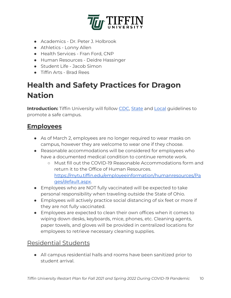

- Academics Dr. Peter J. Holbrook
- Athletics Lonny Allen
- Health Services Fran Ford, CNP
- Human Resources Deidre Hassinger
- Student Life Jacob Simon
- Tiffin Arts Brad Rees

# <span id="page-10-0"></span> **Health and Safety Practices for Dragon Nation**

**Introduction:** Tiffin University will follow [CDC](https://www.cdc.gov/coronavirus/2019-ncov/community/colleges-universities/index.html), State and [Local](https://www.senecahealthdept.org/copy-of-communicable-disease) guidelines to promote a safe campus.

## <span id="page-10-1"></span> **Employees**

- As of March 2, employees are no longer required to wear masks on campus, however they are welcome to wear one if they choose.
- Reasonable accommodations will be considered for employees who have a documented medical condition to continue remote work.
	- Must fill out the COVID-19 Reasonable Accommodations form and return it to the Office of Human Resources.  [https://mytu.tiffin.edu/employeeinformation/humanresources/Pa](https://mytu.tiffin.edu/employeeinformation/humanresources/Pages/default.aspx) qes/default.aspx.
- Employees who are NOT fully vaccinated will be expected to take personal responsibility when traveling outside the State of Ohio.
- Employees will actively practice social distancing of six feet or more if they are not fully vaccinated.
- Employees are expected to clean their own offices when it comes to wiping down desks, keyboards, mice, phones, etc. Cleaning agents, paper towels, and gloves will be provided in centralized locations for employees to retrieve necessary cleaning supplies.

## <span id="page-10-2"></span>Residential Students

 ● All campus residential halls and rooms have been sanitized prior to student arrival.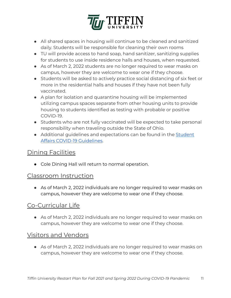

- All shared spaces in housing will continue to be cleaned and sanitized daily. Students will be responsible for cleaning their own rooms
- TU will provide access to hand soap, hand sanitizer, sanitizing supplies for students to use inside residence halls and houses, when requested.
- As of March 2, 2022 students are no longer required to wear masks on campus, however they are welcome to wear one if they choose.
- Students will be asked to actively practice social distancing of six feet or more in the residential halls and houses if they have not been fully vaccinated.
- A plan for isolation and quarantine housing will be implemented utilizing campus spaces separate from other housing units to provide housing to students identified as testing with probable or positive COVID-19.
- Students who are not fully vaccinated will be expected to take personal responsibility when traveling outside the State of Ohio.
- Additional guidelines and expectations can be found in the Student  [Affairs COVID-19 Guidelines.](https://docs.google.com/document/d/139P8uxBxlrYW8KVp007z8xVKpEKRYOP9k6MS4JFRx0Y/edit?usp=sharing)

## <span id="page-11-0"></span>**Dining Facilities**

● Cole Dining Hall will return to normal operation.

#### <span id="page-11-1"></span>Classroom Instruction

● As of March 2, 2022 individuals are no longer required to wear masks on campus, however they are welcome to wear one if they choose.

## <span id="page-11-2"></span>Co-Curricular Life

 ● As of March 2, 2022 individuals are no longer required to wear masks on campus, however they are welcome to wear one if they choose.

## <span id="page-11-3"></span>Visitors and Vendors

● As of March 2, 2022 individuals are no longer required to wear masks on campus, however they are welcome to wear one if they choose.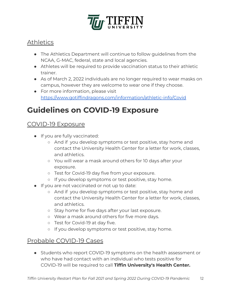

## <span id="page-12-0"></span>**Athletics**

- The Athletics Department will continue to follow guidelines from the NCAA, G-MAC, federal, state and local agencies.
- Athletes will be required to provide vaccination status to their athletic trainer.
- As of March 2, 2022 individuals are no longer required to wear masks on campus, however they are welcome to wear one if they choose.
- For more information, please visit <https://www.gotiffindragons.com/information/athletic-info/Covid>

# <span id="page-12-1"></span> **Guidelines on COVID-19 Exposure**

#### <span id="page-12-2"></span>COVID-19 Exposure

- If you are fully vaccinated:
	- And if you develop symptoms or test positive, stay home and contact the University Health Center for a letter for work, classes, and athletics.
	- You will wear a mask around others for 10 days after your exposure.
	- Test for Covid-19 day five from your exposure.
	- If you develop symptoms or test positive, stay home.
- If you are not vaccinated or not up to date:
	- And if you develop symptoms or test positive, stay home and contact the University Health Center for a letter for work, classes, and athletics.
	- Stay home for five days after your last exposure.
	- Wear a mask around others for five more days.
	- o Test for Covid-19 at day five.
	- If you develop symptoms or test positive, stay home.

## Probable COVID-19 Cases

 ● Students who report COVID-19 symptoms on the health assessment or who have had contact with an individual who tests positive for COVID-19 will be required to call **Tiffin University's Health Center.**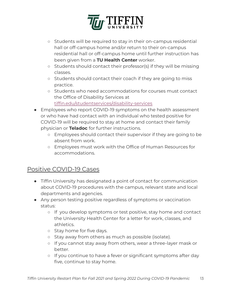

- Students will be required to stay in their on-campus residential hall or off-campus home and/or return to their on-campus residential hall or off-campus home until further instruction has been given from a **TU Health Center** worker.
- Students should contact their professor(s) if they will be missing classes.
- Students should contact their coach if they are going to miss practice.
- Students who need accommodations for courses must contact the Office of Disability Services at  [tiffin.edu/studentservices/disability-services](https://www.tiffin.edu/studentservices/disability-services)
- Employees who report COVID-19 symptoms on the health assessment or who have had contact with an individual who tested positive for COVID-19 will be required to stay at home and contact their family physician or **Teladoc** for further instructions.
	- Employees should contact their supervisor if they are going to be absent from work.
	- Employees must work with the Office of Human Resources for accommodations.

## <span id="page-13-0"></span>Positive COVID-19 Cases

- Tiffin University has designated a point of contact for communication about COVID-19 procedures with the campus, relevant state and local departments and agencies.
- Any person testing positive regardless of symptoms or vaccination status:
	- If you develop symptoms or test positive, stay home and contact the University Health Center for a letter for work, classes, and athletics.
	- o Stay home for five days.
	- Stay away from others as much as possible (isolate).
	- If you cannot stay away from others, wear a three-layer mask or better.
	- If you continue to have a fever or significant symptoms after day five, continue to stay home.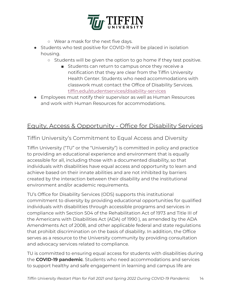

- Wear a mask for the next five days.
- Students who test positive for COVID-19 will be placed in isolation housing.
	- Students will be given the option to go home if they test positive.
		- Students can return to campus once they receive a notification that they are clear from the Tiffin University Health Center. Students who need accommodations with classwork must contact the Office of Disability Services.  [tiffin.edu/studentservices/disability-services](https://www.tiffin.edu/studentservices/disability-services)
- Employees must notify their supervisor as well as Human Resources and work with Human Resources for accommodations.

## <span id="page-14-0"></span>Equity, Access & Opportunity - Office for Disability Services

#### <span id="page-14-1"></span>Tiffin University's Commitment to Equal Access and Diversity

 Tiffin University ("TU" or the "University") is committed in policy and practice to providing an educational experience and environment that is equally accessible for all, including those with a documented disability, so that individuals with disabilities have equal access and opportunity to learn and achieve based on their innate abilities and are not inhibited by barriers created by the interaction between their disability and the institutional environment and/or academic requirements.

 TU's Office for Disability Services (ODS) supports this institutional commitment to diversity by providing educational opportunities for qualified individuals with disabilities through accessible programs and services in compliance with Section 504 of the Rehabilitation Act of 1973 and Title III of the Americans with Disabilities Act (ADA) of 1990 ), as amended by the ADA Amendments Act of 2008, and other applicable federal and state regulations that prohibit discrimination on the basis of disability. In addition, the Office serves as a resource to the University community by providing consultation and advocacy services related to compliance.

 TU is committed to ensuring equal access for students with disabilities during the **COVID-19 pandemic** . Students who need accommodations and services to support healthy and safe engagement in learning and campus life are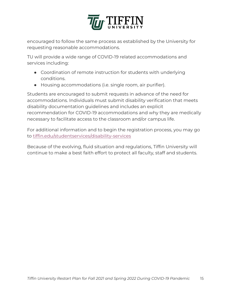

 encouraged to follow the same process as established by the University for requesting reasonable accommodations.

 TU will provide a wide range of COVID-19 related accommodations and services including:

- Coordination of remote instruction for students with underlying conditions.
- Housing accommodations (i.e. single room, air purifier).

 Students are encouraged to submit requests in advance of the need for accommodations. Individuals must submit disability verification that meets disability documentation guidelines and includes an explicit recommendation for COVID-19 accommodations and why they are medically necessary to facilitate access to the classroom and/or campus life.

 For additional information and to begin the registration process, you may go to [tiffin.edu/studentservices/disability-services](https://www.tiffin.edu/studentservices/disability-services)

 Because of the evolving, fluid situation and regulations, Tiffin University will continue to make a best faith effort to protect all faculty, staff and students.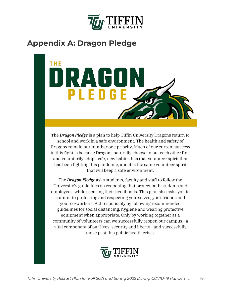

# <span id="page-16-0"></span> **Appendix A: Dragon Pledge**



The **Dragon Pledge** is a plan to help Tiffin University Dragons return to school and work in a safe environment. The health and safety of Dragons remain our number one priority. Much of our current success in this fight is because Dragons naturally choose to put each other first and voluntarily adopt safe, new habits. It is that volunteer spirit that has been fighting this pandemic, and it is the same volunteer spirit that will keep a safe environment.

The **Dragon Pledge** asks students, faculty and staff to follow the University's guidelines on reopening that protect both students and employees, while securing their livelihoods. This plan also asks you to commit to protecting and respecting yourselves, your friends and your co-workers. Act responsibly by following recommended guidelines for social distancing, hygiene and wearing protective equipment when appropriate. Only by working together as a community of volunteers can we successfully reopen our campus - a vital component of our lives, security and liberty - and successfully move past this public health crisis.

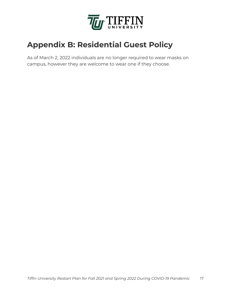

# <span id="page-17-0"></span> **Appendix B: Residential Guest Policy**

 As of March 2, 2022 individuals are no longer required to wear masks on campus, however they are welcome to wear one if they choose.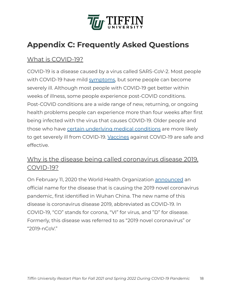

# <span id="page-18-0"></span> **Appendix C: Frequently Asked Questions**

## <span id="page-18-1"></span>What is COVID-19?

 COVID-19 is a disease caused by a virus called SARS-CoV-2. Most people with COVID-19 have mild [symptoms](https://www.cdc.gov/coronavirus/2019-ncov/symptoms-testing/symptoms.html), but some people can become severely ill. Although most people with COVID-19 get better within weeks of illness, some people experience post-COVID conditions. Post-COVID conditions are a wide range of new, returning, or ongoing health problems people can experience more than four weeks after first being infected with the virus that causes COVID-19. Older people and those who have [certain underlying medical conditions](https://www.cdc.gov/coronavirus/2019-ncov/need-extra-precautions/people-with-medical-conditions.html) are more likely to get severely ill from COVID-19. [Vaccines](https://www.cdc.gov/coronavirus/2019-ncov/vaccines/index.html) against COVID-19 are safe and effective.

## <span id="page-18-2"></span> Why is the disease being called coronavirus disease 2019, COVID-19?

 On February 11, 2020 the World Health Organization [announced](https://twitter.com/DrTedros/status/1227297754499764230) an official name for the disease that is causing the 2019 novel coronavirus pandemic, first identified in Wuhan China. The new name of this disease is coronavirus disease 2019, abbreviated as COVID-19. In COVID-19, "CO" stands for corona, "VI" for virus, and "D" for disease. Formerly, this disease was referred to as "2019 novel coronavirus" or "2019-nCoV."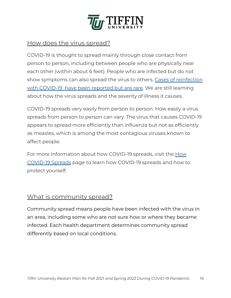

#### <span id="page-19-0"></span>How does the virus spread?

 COVID-19 is thought to spread mainly through close contact from person to person, including between people who are physically near each other (within about 6 feet). People who are infected but do not show symptoms can also spread the virus to others. Cases of reinfection with COVID-19 have been reported but are rare. We are still learning about how the virus spreads and the severity of illness it causes.

 COVID-19 spreads very easily from person to person. How easily a virus spreads from person to person can vary. The virus that causes COVID-19 appears to spread more efficiently than influenza but not as efficiently as measles, which is among the most contagious viruses known to affect people.

For more information about how COVID-19 spreads, visit the **How**  [COVID-19 Spreads](https://www.cdc.gov/coronavirus/2019-ncov/prevent-getting-sick/how-covid-spreads.html) page to learn how COVID-19 spreads and how to protect yourself.

## <span id="page-19-1"></span>What is community spread?

 Community spread means people have been infected with the virus in an area, including some who are not sure how or where they became infected. Each health department determines community spread differently based on local conditions.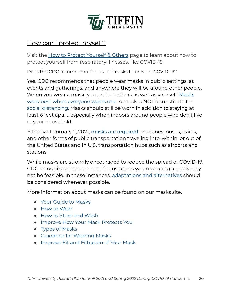

#### <span id="page-20-0"></span>How can I protect myself?

 Visit the [How to Protect Yourself & Others](https://www.cdc.gov/coronavirus/2019-ncov/prevent-getting-sick/prevention.html) page to learn about how to protect yourself from respiratory illnesses, like COVID-19.

Does the CDC recommend the use of masks to prevent COVID-19?

 Yes. CDC recommends that people wear masks in public settings, at events and gatherings, and anywhere they will be around other people. When you wear a mask, you protect others as well as yourself. [Masks](https://www.cdc.gov/coronavirus/2019-ncov/more/masking-science-sars-cov2.html)   [work best when everyone wears one.](https://www.cdc.gov/coronavirus/2019-ncov/more/masking-science-sars-cov2.html) A mask is NOT a substitute for  [social distancing.](https://www.cdc.gov/coronavirus/2019-ncov/prevent-getting-sick/social-distancing.html) Masks should still be worn in addition to staying at least 6 feet apart, especially when indoors around people who don't live in your household.

 Effective February 2, 2021, [masks are required](https://www.cdc.gov/coronavirus/2019-ncov/travelers/face-masks-public-transportation.html) on planes, buses, trains, and other forms of public transportation traveling into, within, or out of the United States and in U.S. transportation hubs such as airports and stations.

 While masks are strongly encouraged to reduce the spread of COVID-19, CDC recognizes there are specific instances when wearing a mask may not be feasible. In these instances, [adaptations and alternatives](https://www.cdc.gov/coronavirus/2019-ncov/prevent-getting-sick/cloth-face-cover-guidance.html#mask-adaptations-alternatives) should be considered whenever possible.

More information about masks can be found on our masks site.

- [Your Guide to Masks](https://www.cdc.gov/coronavirus/2019-ncov/prevent-getting-sick/about-face-coverings.html)
- [How to Wear](https://www.cdc.gov/coronavirus/2019-ncov/prevent-getting-sick/how-to-wear-cloth-face-coverings.html)
- [How to Store and Wash](https://www.cdc.gov/coronavirus/2019-ncov/prevent-getting-sick/how-to-wash-cloth-face-coverings.html)
- [Improve How Your Mask Protects You](https://www.cdc.gov/coronavirus/2019-ncov/your-health/effective-masks.html)
- [Types of Masks](https://www.cdc.gov/coronavirus/2019-ncov/prevent-getting-sick/types-of-masks.html)
- [Guidance for Wearing Masks](https://www.cdc.gov/coronavirus/2019-ncov/prevent-getting-sick/cloth-face-cover-guidance.html)
- [Improve Fit and Filtration of Your Mask](https://www.cdc.gov/coronavirus/2019-ncov/prevent-getting-sick/mask-fit-and-filtration.html)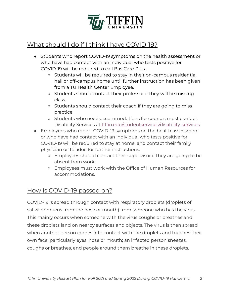

## What should I do if I think I have COVID-19?

- Students who report COVID-19 symptoms on the health assessment or who have had contact with an individual who tests positive for COVID-19 will be required to call BasiCare Plus.
	- Students will be required to stay in their on-campus residential hall or off-campus home until further instruction has been given from a TU Health Center Employee.
	- Students should contact their professor if they will be missing class.
	- Students should contact their coach if they are going to miss practice.
	- Students who need accommodations for courses must contact Disability Services at [tiffin.edu/studentservices/disability-services](https://www.tiffin.edu/studentservices/disability-services)
- Employees who report COVID-19 symptoms on the health assessment or who have had contact with an individual who tests positive for COVID-19 will be required to stay at home, and contact their family physician or Teladoc for further instructions.
	- Employees should contact their supervisor if they are going to be absent from work.
	- Employees must work with the Office of Human Resources for accommodations.

## <span id="page-21-0"></span>How is COVID-19 passed on?

 COVID-19 is spread through contact with respiratory droplets (droplets of saliva or mucus from the nose or mouth) from someone who has the virus. This mainly occurs when someone with the virus coughs or breathes and these droplets land on nearby surfaces and objects. The virus is then spread when another person comes into contact with the droplets and touches their own face, particularly eyes, nose or mouth; an infected person sneezes, coughs or breathes, and people around them breathe in these droplets.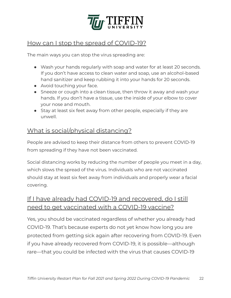

## <span id="page-22-0"></span>How can I stop the spread of COVID-19?

The main ways you can stop the virus spreading are:

- Wash your hands regularly with soap and water for at least 20 seconds. If you don't have access to clean water and soap, use an alcohol-based hand sanitizer and keep rubbing it into your hands for 20 seconds.
- Avoid touching your face.
- Sneeze or cough into a clean tissue, then throw it away and wash your hands. If you don't have a tissue, use the inside of your elbow to cover your nose and mouth.
- Stay at least six feet away from other people, especially if they are unwell.

## <span id="page-22-1"></span>What is social/physical distancing?

 People are advised to keep their distance from others to prevent COVID-19 from spreading if they have not been vaccinated.

 Social distancing works by reducing the number of people you meet in a day, which slows the spread of the virus. Individuals who are not vaccinated should stay at least six feet away from individuals and properly wear a facial covering.

## If I have already had COVID-19 and recovered, do I still need to get vaccinated with a COVID-19 vaccine?

 Yes, you should be vaccinated regardless of whether you already had COVID-19. That's because experts do not yet know how long you are protected from getting sick again after recovering from COVID-19. Even if you have already recovered from COVID-19, it is possible—although rare—that you could be infected with the virus that causes COVID-19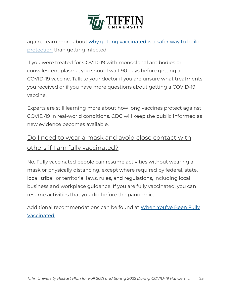

again. Learn more about why getting vaccinated is a safer way to build  [protection](https://www.cdc.gov/coronavirus/2019-ncov/vaccines/vaccine-benefits.html) than getting infected.

 If you were treated for COVID-19 with monoclonal antibodies or convalescent plasma, you should wait 90 days before getting a COVID-19 vaccine. Talk to your doctor if you are unsure what treatments you received or if you have more questions about getting a COVID-19 vaccine.

 Experts are still learning more about how long vaccines protect against COVID-19 in real-world conditions. CDC will keep the public informed as new evidence becomes available.

## Do I need to wear a mask and avoid close contact with others if I am fully vaccinated?

 No. Fully vaccinated people can resume activities without wearing a mask or physically distancing, except where required by federal, state, local, tribal, or territorial laws, rules, and regulations, including local business and workplace guidance. If you are fully vaccinated, you can resume activities that you did before the pandemic.

 Additional recommendations can be found at [When You've Been Fully](https://www.cdc.gov/coronavirus/2019-ncov/vaccines/fully-vaccinated.html)   [Vaccinated.](https://www.cdc.gov/coronavirus/2019-ncov/vaccines/fully-vaccinated.html)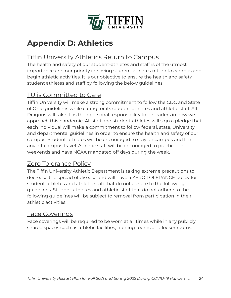

# <span id="page-24-0"></span> **Appendix D: Athletics**

## <span id="page-24-1"></span>Tiffin University Athletics Return to Campus

 The health and safety of our student-athletes and staff is of the utmost importance and our priority in having student-athletes return to campus and begin athletic activities. It is our objective to ensure the health and safety student athletes and staff by following the below guidelines:

## <span id="page-24-2"></span>TU is Committed to Care

 Tiffin University will make a strong commitment to follow the CDC and State of Ohio guidelines while caring for its student-athletes and athletic staff. All Dragons will take it as their personal responsibility to be leaders in how we approach this pandemic. All staff and student-athletes will sign a pledge that each individual will make a commitment to follow federal, state, University and departmental guidelines in order to ensure the health and safety of our campus. Student-athletes will be encouraged to stay on campus and limit any off-campus travel. Athletic staff will be encouraged to practice on weekends and have NCAA mandated off days during the week.

## <span id="page-24-3"></span>Zero Tolerance Policy

 The Tiffin University Athletic Department is taking extreme precautions to decrease the spread of disease and will have a ZERO TOLERANCE policy for student-athletes and athletic staff that do not adhere to the following guidelines. Student-athletes and athletic staff that do not adhere to the following guidelines will be subject to removal from participation in their athletic activities.

## <span id="page-24-4"></span>Face Coverings

 Face coverings will be required to be worn at all times while in any publicly shared spaces such as athletic facilities, training rooms and locker rooms.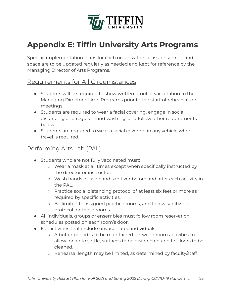

# <span id="page-25-0"></span> **Appendix E: Tiffin University Arts Programs**

 Specific implementation plans for each organization, class, ensemble and space are to be updated regularly as needed and kept for reference by the Managing Director of Arts Programs.

#### <span id="page-25-1"></span>Requirements for All Circumstances

- Students will be required to show written proof of vaccination to the Managing Director of Arts Programs prior to the start of rehearsals or meetings.
- Students are required to wear a facial covering, engage in social distancing and regular hand washing, and follow other requirements below.
- Students are required to wear a facial covering in any vehicle when travel is required.

#### Performing Arts Lab (PAL)

- Students who are not fully vaccinated must:
	- Wear a mask at all times except when specifically instructed by the director or instructor.
	- Wash hands or use hand sanitizer before and after each activity in the PAL.
	- Practice social distancing protocol of at least six feet or more as required by specific activities.
	- Be limited to assigned practice rooms, and follow sanitizing protocol for those rooms.
- All individuals, groups or ensembles must follow room reservation schedules posted on each room's door.
- For activities that include unvaccinated individuals,
	- A buffer period is to be maintained between room activities to allow for air to settle, surfaces to be disinfected and for floors to be cleaned.
	- Rehearsal length may be limited, as determined by faculty/staff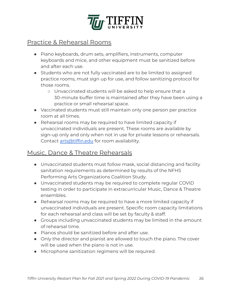

#### <span id="page-26-0"></span>Practice & Rehearsal Rooms

- Piano keyboards, drum sets, amplifiers, instruments, computer keyboards and mice, and other equipment must be sanitized before and after each use.
- Students who are not fully vaccinated are to be limited to assigned practice rooms, must sign up for use, and follow sanitizing protocol for those rooms.
	- Unvaccinated students will be asked to help ensure that a 30-minute buffer time is maintained after they have been using a practice or small rehearsal space.
- Vaccinated students must still maintain only one person per practice room at all times.
- Rehearsal rooms may be required to have limited capacity if unvaccinated individuals are present. These rooms are available by sign-up only and only when not in use for private lessons or rehearsals. Contact [arts@tiffin.edu](mailto:arts@tiffin.edu) for room availability.

#### <span id="page-26-1"></span>Music, Dance & Theatre Rehearsals

- Unvaccinated students must follow mask, social distancing and facility sanitation requirements as determined by results of the NFHS Performing Arts Organizations Coalition Study.
- Unvaccinated students may be required to complete regular COVID testing in order to participate in extracurricular Music, Dance & Theatre ensembles.
- Rehearsal rooms may be required to have a more limited capacity if unvaccinated individuals are present. Specific room capacity limitations for each rehearsal and class will be set by faculty & staff.
- Groups including unvaccinated students may be limited in the amount of rehearsal time.
- Pianos should be sanitized before and after use.
- Only the director and pianist are allowed to touch the piano. The cover will be used when the piano is not in use.
- Microphone sanitization regimens will be required.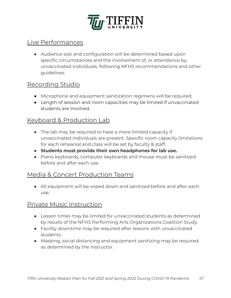

#### <span id="page-27-0"></span>Live Performances

 ● Audience size and configuration will be determined based upon specific circumstances and the involvement of, or attendance by, unvaccinated individuals, following NFHS recommendations and other guidelines.

#### <span id="page-27-1"></span>Recording Studio

- Microphone and equipment sanitization regimens will be required.
- Length of session and room capacities may be limited if unvaccinated students are involved.

#### <span id="page-27-2"></span>Keyboard & Production Lab

- The lab may be required to have a more limited capacity if unvaccinated individuals are present. Specific room capacity limitations for each rehearsal and class will be set by faculty & staff.
- **Students must provide their own headphones for lab use.**
- Piano keyboards, computer keyboards and mouse must be sanitized before and after each use.

#### <span id="page-27-3"></span>Media & Concert Production Teams

• All equipment will be wiped down and sanitized before and after each use.

#### <span id="page-27-4"></span>Private Music Instruction

- Lesson times may be limited for unvaccinated students as determined by results of the NFHS Performing Arts Organizations Coalition Study.
- Facility downtime may be required after lessons with unvaccinated students.
- Masking, social distancing and equipment sanitizing may be required, as determined by the instructor.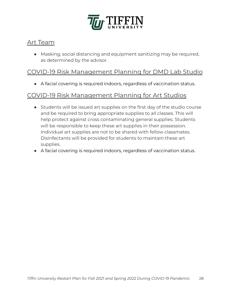

#### <span id="page-28-0"></span>Art Team

 ● Masking, social distancing and equipment sanitizing may be required, as determined by the advisor.

## <span id="page-28-1"></span>COVID-19 Risk Management Planning for DMD Lab Studio

● A facial covering is required indoors, regardless of vaccination status.

#### <span id="page-28-2"></span>COVID-19 Risk Management Planning for Art Studios

- Students will be issued art supplies on the first day of the studio course and be required to bring appropriate supplies to all classes. This will help protect against cross contaminating general supplies. Students will be responsible to keep these art supplies in their possession. Individual art supplies are not to be shared with fellow classmates. Disinfectants will be provided for students to maintain these art supplies.
- A facial covering is required indoors, regardless of vaccination status.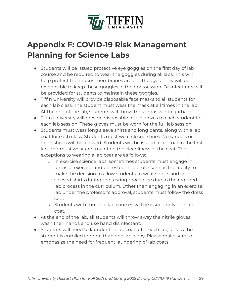

# <span id="page-29-0"></span> **Appendix F: COVID-19 Risk Management Planning for Science Labs**

- Students will be issued protective eye goggles on the first day of lab course and be required to wear the goggles during all labs. This will help protect the mucus membranes around the eyes. They will be responsible to keep these goggles in their possession. Disinfectants will be provided for students to maintain these goggles.
- Tiffin University will provide disposable face masks to all students for each lab class. The student must wear the mask at all times in the lab. At the end of the lab, students will throw these masks into garbage.
- Tiffin University will provide disposable nitrile gloves to each student for each lab session. These gloves must be worn for the full lab session.
- Students must wear long sleeve shirts and long pants, along with a lab coat for each class. Students must wear closed shoes. No sandals or open shoes will be allowed. Students will be issued a lab coat in the first lab, and must wear and maintain the cleanliness of the coat. The exceptions to wearing a lab coat are as follows:
	- In exercise science labs, sometimes students must engage in forms of exercise and be tested. The professor has the ability to make the decision to allow students to wear shorts and short sleeved shirts during the testing procedure due to the required lab process in the curriculum. Other than engaging in an exercise lab under the professor's approval, students must follow the dress code.
	- Students with multiple lab courses will be issued only one lab coat.
- At the end of the lab, all students will throw away the nitrile gloves, wash their hands and use hand disinfectant.
- Students will need to launder the lab coat after each lab, unless the student is enrolled in more than one lab a day. Please make sure to emphasize the need for frequent laundering of lab coats.